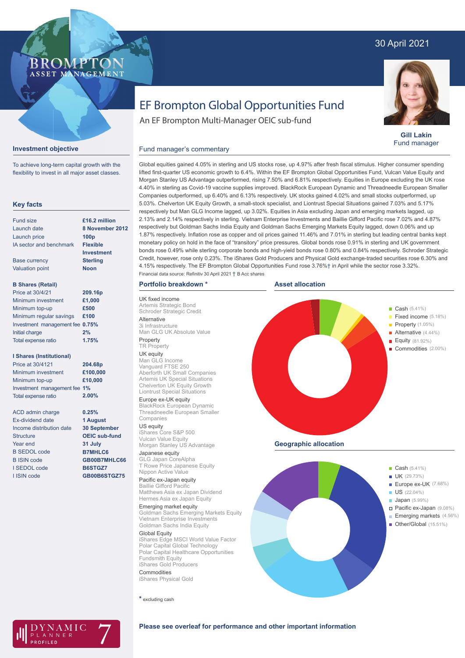# 30 April 2021



**Gill Lakin** Fund manager

# EF Brompton Global Opportunities Fund

An EF Brompton Multi-Manager OEIC sub-fund

### **Investment objective**

BROMP

ASSET MANAGEMENT

To achieve long-term capital growth with the flexibility to invest in all major asset classes.

### **Key facts**

| Fund size                       | £16.2 million    |
|---------------------------------|------------------|
| Launch date                     | 8 November 2012  |
| Launch price                    | 100 <sub>p</sub> |
| IA sector and benchmark         | <b>Flexible</b>  |
|                                 | Investment       |
| <b>Base currency</b>            | <b>Sterling</b>  |
| <b>Valuation point</b>          | <b>Noon</b>      |
|                                 |                  |
| <b>B Shares (Retail)</b>        |                  |
| Price at 30/4/21                | 209.16p          |
| Minimum investment              | £1,000           |
| Minimum top-up                  | £500             |
| Minimum regular savings         | £100             |
| Investment management fee 0.75% |                  |
| Initial charge                  | 2%               |

#### **I Shares (Institutional)**

Total expense ratio

| Price at 30/4121             | 204.68p  |
|------------------------------|----------|
| Minimum investment           | £100,000 |
| Minimum top-up               | £10,000  |
| Investment management fee 1% |          |
| <b>Total expense ratio</b>   | 2.00%    |

**0.25% 1 August 30 September OEIC sub-fund 31 July B7MHLC6 GB00B7MHLC66 B6STGZ7 GB00B6STGZ75**

**1.75%**

| <b>ACD</b> admin charge  |
|--------------------------|
| <b>Ex-dividend date</b>  |
| Income distribution date |
| <b>Structure</b>         |
| Year end                 |
| <b>B SEDOL code</b>      |
| <b>B ISIN code</b>       |
| I SEDOL code             |
| I ISIN code              |

Global equities gained 4.05% in sterling and US stocks rose, up 4.97% after fresh fiscal stimulus. Higher consumer spending lifted first-quarter US economic growth to 6.4%. Within the EF Brompton Global Opportunities Fund, Vulcan Value Equity and Morgan Stanley US Advantage outperformed, rising 7.50% and 6.81% respectively. Equities in Europe excluding the UK rose 4.40% in sterling as Covid-19 vaccine supplies improved. BlackRock European Dynamic and Threadneedle European Smaller Companies outperformed, up 6.40% and 6.13% respectively. UK stocks gained 4.02% and small stocks outperformed, up 5.03%. Chelverton UK Equity Growth, a small-stock specialist, and Liontrust Special Situations gained 7.03% and 5.17% Fund manager's commentary

respectively but Man GLG Income lagged, up 3.02%. Equities in Asia excluding Japan and emerging markets lagged, up 2.13% and 2.14% respectively in sterling. Vietnam Enterprise Investments and Baillie Gifford Pacific rose 7.02% and 4.87% respectively but Goldman Sachs India Equity and Goldman Sachs Emerging Markets Equity lagged, down 0.06% and up 1.87% respectively. Inflation rose as copper and oil prices gained 11.46% and 7.01% in sterling but leading central banks kept monetary policy on hold in the face of "transitory" price pressures. Global bonds rose 0.91% in sterling and UK government bonds rose 0.49% while sterling corporate bonds and high-yield bonds rose 0.80% and 0.84% respectively. Schroder Strategic Credit, however, rose only 0.23%. The iShares Gold Producers and Physical Gold exchange-traded securities rose 6.30% and 4.15% respectively. The EF Brompton Global Opportunities Fund rose 3.76%† in April while the sector rose 3.32%.

# **Portfolio breakdown \***

UK fixed income Artemis Strategic Bond Schroder Strategic Credit Alternative 3i Infrastructure

Man GLG UK Absolute Value Property

#### TR Property UK equity

Man GLG Income Vanguard FTSE 250 Aberforth UK Small Companies Artemis UK Special Situations Chelverton UK Equity Growth Liontrust Special Situations

Europe ex-UK equity BlackRock European Dynamic Threadneedle European Smaller Companies

US equity iShares Core S&P 500 Vulcan Value Equity Morgan Stanley US Advantage

Japanese equity GLG Japan CoreAlpha T Rowe Price Japanese Equity Nippon Active Value

Pacific ex-Japan equity Baillie Gifford Pacific Matthews Asia ex Japan Dividend Hermes Asia ex Japan Equity Emerging market equity

Goldman Sachs Emerging Markets Equity Vietnam Enterprise Investments Goldman Sachs India Equity

Global Equity iShares Edge MSCI World Value Factor Polar Capital Global Technology Polar Capital Healthcare Opportunities Fundsmith Equity iShares Gold Producers

Commodities iShares Physical Gold

**\*** excluding cash



**Geographic allocation**





## **Please see overleaf for performance and other important information**